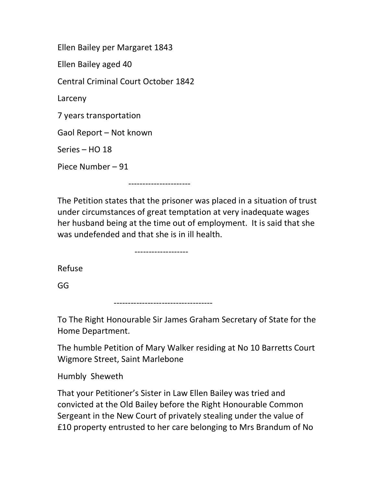Ellen Bailey per Margaret 1843 Ellen Bailey aged 40 Central Criminal Court October 1842 Larceny 7 years transportation Gaol Report – Not known Series – HO 18 Piece Number – 91

The Petition states that the prisoner was placed in a situation of trust under circumstances of great temptation at very inadequate wages her husband being at the time out of employment. It is said that she was undefended and that she is in ill health.

-------------------

----------------------

Refuse

GG

-----------------------------------

To The Right Honourable Sir James Graham Secretary of State for the Home Department.

The humble Petition of Mary Walker residing at No 10 Barretts Court Wigmore Street, Saint Marlebone

Humbly Sheweth

That your Petitioner's Sister in Law Ellen Bailey was tried and convicted at the Old Bailey before the Right Honourable Common Sergeant in the New Court of privately stealing under the value of £10 property entrusted to her care belonging to Mrs Brandum of No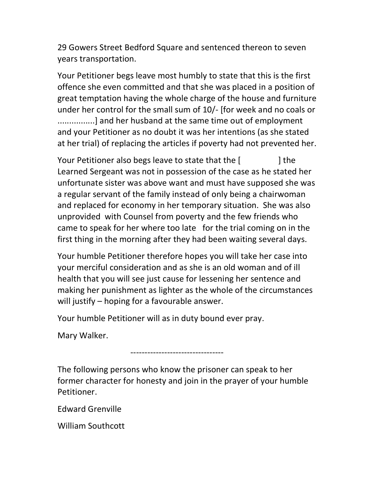29 Gowers Street Bedford Square and sentenced thereon to seven years transportation.

Your Petitioner begs leave most humbly to state that this is the first offence she even committed and that she was placed in a position of great temptation having the whole charge of the house and furniture under her control for the small sum of 10/- [for week and no coals or ................] and her husband at the same time out of employment and your Petitioner as no doubt it was her intentions (as she stated at her trial) of replacing the articles if poverty had not prevented her.

Your Petitioner also begs leave to state that the [  $\qquad$  ] the Learned Sergeant was not in possession of the case as he stated her unfortunate sister was above want and must have supposed she was a regular servant of the family instead of only being a chairwoman and replaced for economy in her temporary situation. She was also unprovided with Counsel from poverty and the few friends who came to speak for her where too late for the trial coming on in the first thing in the morning after they had been waiting several days.

Your humble Petitioner therefore hopes you will take her case into your merciful consideration and as she is an old woman and of ill health that you will see just cause for lessening her sentence and making her punishment as lighter as the whole of the circumstances will justify – hoping for a favourable answer.

Your humble Petitioner will as in duty bound ever pray.

Mary Walker.

---------------------------------

The following persons who know the prisoner can speak to her former character for honesty and join in the prayer of your humble Petitioner.

Edward Grenville

William Southcott